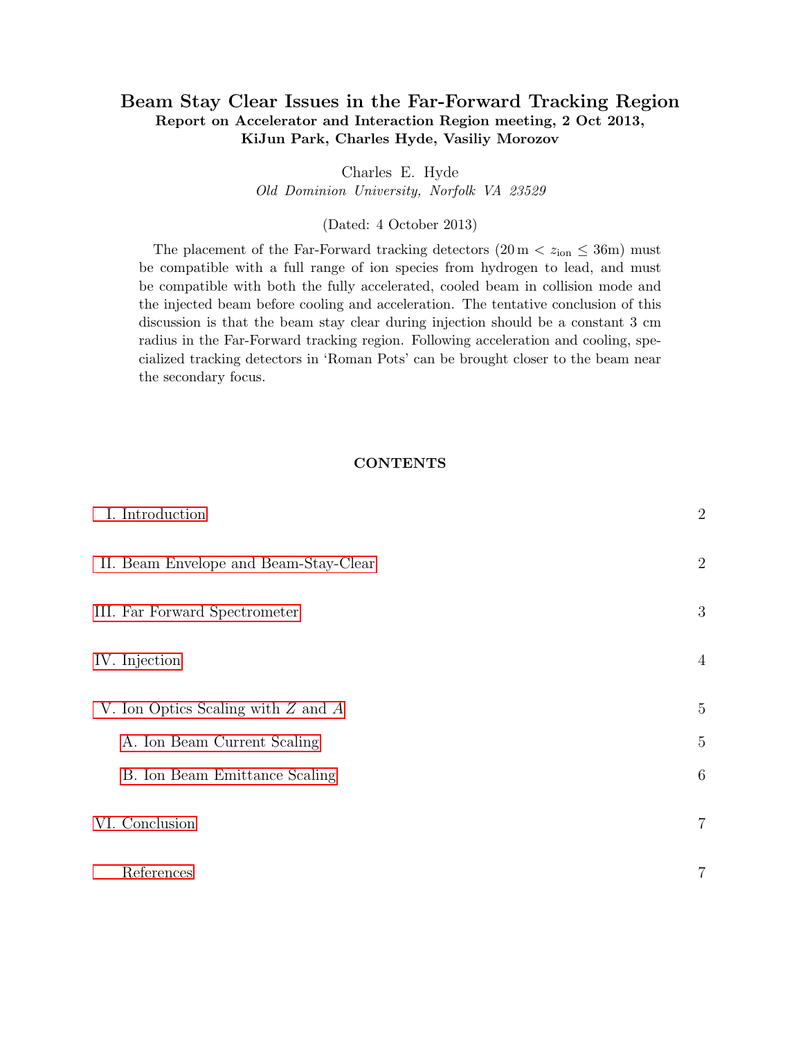# Beam Stay Clear Issues in the Far-Forward Tracking Region Report on Accelerator and Interaction Region meeting, 2 Oct 2013, KiJun Park, Charles Hyde, Vasiliy Morozov

Charles E. Hyde

Old Dominion University, Norfolk VA 23529

# (Dated: 4 October 2013)

The placement of the Far-Forward tracking detectors  $(20 \text{ m} < z_{\text{ion}} \leq 36 \text{ m})$  must be compatible with a full range of ion species from hydrogen to lead, and must be compatible with both the fully accelerated, cooled beam in collision mode and the injected beam before cooling and acceleration. The tentative conclusion of this discussion is that the beam stay clear during injection should be a constant 3 cm radius in the Far-Forward tracking region. Following acceleration and cooling, specialized tracking detectors in 'Roman Pots' can be brought closer to the beam near the secondary focus.

# **CONTENTS**

| I. Introduction                        | $\overline{2}$ |
|----------------------------------------|----------------|
| II. Beam Envelope and Beam-Stay-Clear  | $\overline{2}$ |
| III. Far Forward Spectrometer          | 3              |
| IV. Injection                          | $\overline{4}$ |
| V. Ion Optics Scaling with $Z$ and $A$ | $\overline{5}$ |
| A. Ion Beam Current Scaling            | 5              |
| B. Ion Beam Emittance Scaling          | 6              |
| VI. Conclusion                         | $\overline{7}$ |
| References                             | 7              |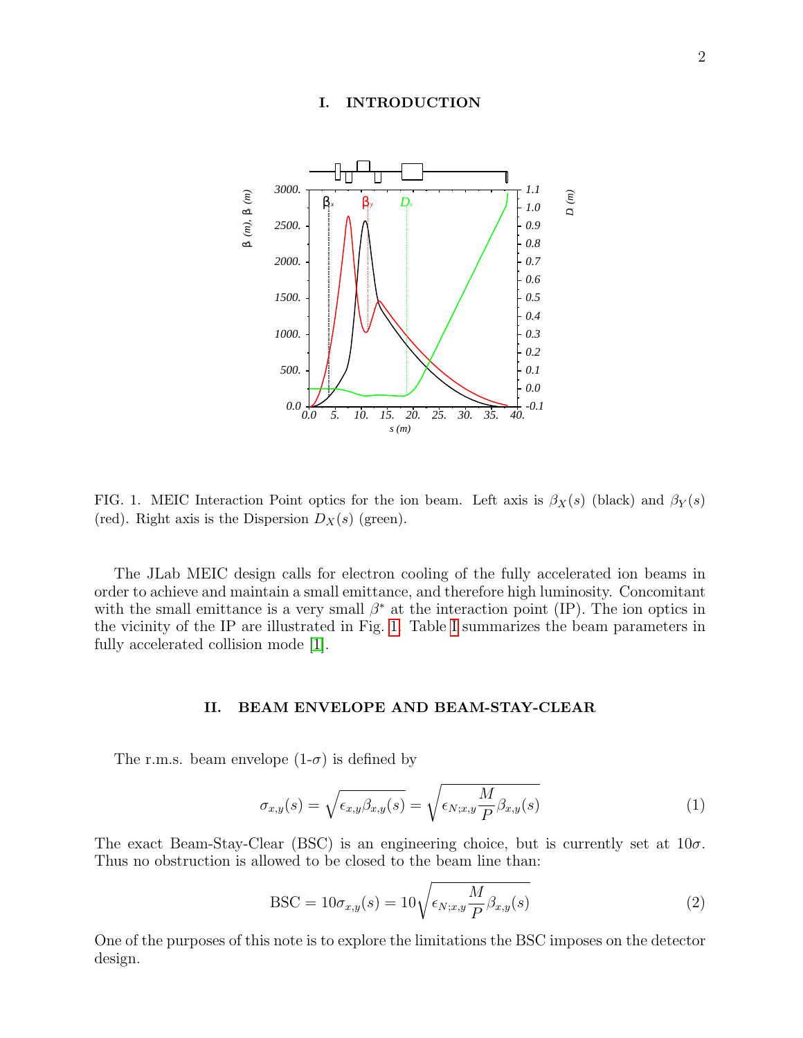#### <span id="page-1-0"></span>I. INTRODUCTION



<span id="page-1-2"></span>FIG. 1. MEIC Interaction Point optics for the ion beam. Left axis is  $\beta_X(s)$  (black) and  $\beta_Y(s)$ (red). Right axis is the Dispersion  $D_X(s)$  (green).

The JLab MEIC design calls for electron cooling of the fully accelerated ion beams in order to achieve and maintain a small emittance, and therefore high luminosity. Concomitant with the small emittance is a very small  $\beta^*$  at the interaction point (IP). The ion optics in the vicinity of the IP are illustrated in Fig. [1.](#page-1-2) Table [I](#page-2-1) summarizes the beam parameters in fully accelerated collision mode [\[1\]](#page-6-2).

# <span id="page-1-1"></span>II. BEAM ENVELOPE AND BEAM-STAY-CLEAR

The r.m.s. beam envelope  $(1-\sigma)$  is defined by

<span id="page-1-3"></span>
$$
\sigma_{x,y}(s) = \sqrt{\epsilon_{x,y}\beta_{x,y}(s)} = \sqrt{\epsilon_{N;x,y}\frac{M}{P}\beta_{x,y}(s)}
$$
(1)

The exact Beam-Stay-Clear (BSC) is an engineering choice, but is currently set at  $10\sigma$ . Thus no obstruction is allowed to be closed to the beam line than:

$$
BSC = 10\sigma_{x,y}(s) = 10\sqrt{\epsilon_{N;x,y}\frac{M}{P}\beta_{x,y}(s)}
$$
\n(2)

One of the purposes of this note is to explore the limitations the BSC imposes on the detector design.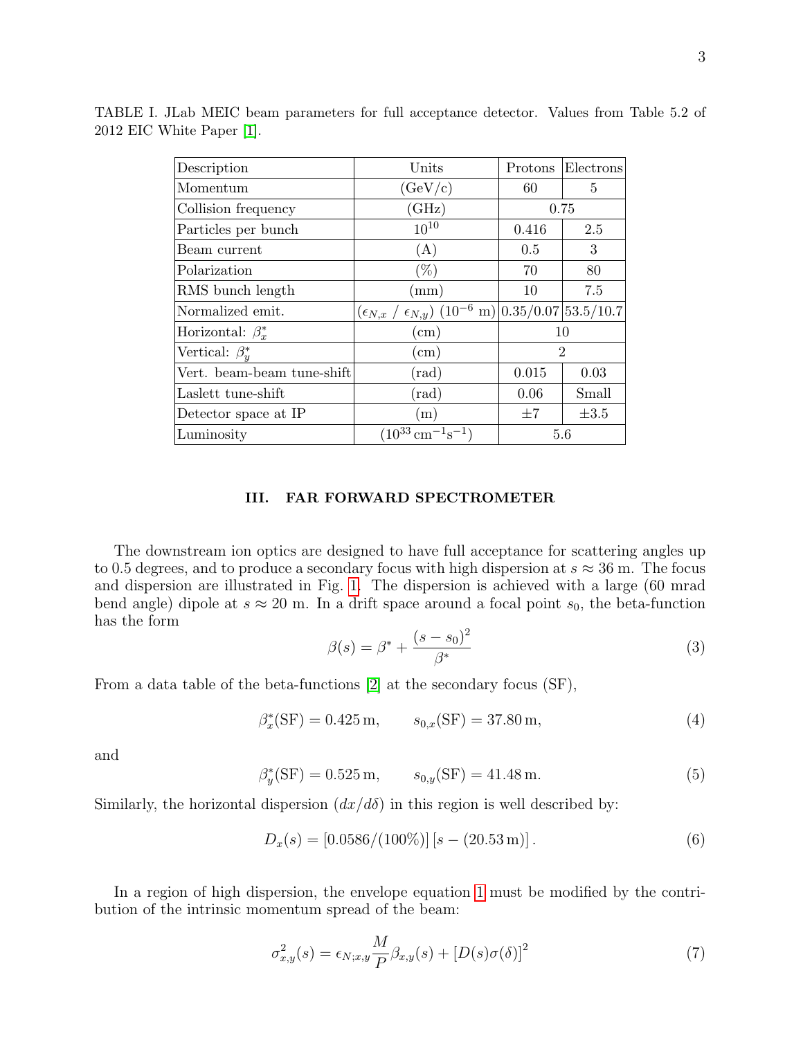<span id="page-2-1"></span>

| Description                | Units                                                                        | Protons        | Electrons |  |
|----------------------------|------------------------------------------------------------------------------|----------------|-----------|--|
| Momentum                   | (GeV/c)                                                                      | 60             | 5         |  |
| Collision frequency        | (GHz)                                                                        | 0.75           |           |  |
| Particles per bunch        | $10^{10}$                                                                    | 0.416          | 2.5       |  |
| Beam current               | (A)                                                                          | 0.5            | 3         |  |
| Polarization               | $(\%)$                                                                       | 70             | 80        |  |
| RMS bunch length           | $\text{(mm)}$                                                                | 10             | 7.5       |  |
| Normalized emit.           | $(\epsilon_{N,x} / \epsilon_{N,y})$ (10 <sup>-6</sup> m) 0.35/0.07 53.5/10.7 |                |           |  |
| Horizontal: $\beta_x^*$    | $\rm (cm)$                                                                   | 10             |           |  |
| Vertical: $\beta_u^*$      | $\rm (cm)$                                                                   | $\overline{2}$ |           |  |
| Vert. beam-beam tune-shift | $(\text{rad})$                                                               | 0.015          | 0.03      |  |
| Laslett tune-shift         | $(\mathrm{rad})$                                                             | 0.06           | Small     |  |
| Detector space at IP       | (m)                                                                          | $\pm 7$        | $\pm 3.5$ |  |
| Luminosity                 | $(10^{33} \,\mathrm{cm}^{-1}\mathrm{s}^{-1})$                                | 5.6            |           |  |

TABLE I. JLab MEIC beam parameters for full acceptance detector. Values from Table 5.2 of 2012 EIC White Paper [\[1\]](#page-6-2).

# <span id="page-2-0"></span>III. FAR FORWARD SPECTROMETER

The downstream ion optics are designed to have full acceptance for scattering angles up to 0.5 degrees, and to produce a secondary focus with high dispersion at  $s \approx 36$  m. The focus and dispersion are illustrated in Fig. [1.](#page-1-2) The dispersion is achieved with a large (60 mrad bend angle) dipole at  $s \approx 20$  m. In a drift space around a focal point  $s_0$ , the beta-function has the form

$$
\beta(s) = \beta^* + \frac{(s - s_0)^2}{\beta^*}
$$
\n(3)

From a data table of the beta-functions [\[2\]](#page-6-3) at the secondary focus (SF),

$$
\beta_x^*(\text{SF}) = 0.425 \,\text{m}, \qquad s_{0,x}(\text{SF}) = 37.80 \,\text{m}, \tag{4}
$$

and

$$
\beta_y^*(\text{SF}) = 0.525 \,\text{m}, \qquad s_{0,y}(\text{SF}) = 41.48 \,\text{m}. \tag{5}
$$

Similarly, the horizontal dispersion  $\left(\frac{dx}{d\delta}\right)$  in this region is well described by:

$$
D_x(s) = [0.0586/(100\%)] [s - (20.53 \,\mathrm{m})]. \tag{6}
$$

In a region of high dispersion, the envelope equation [1](#page-1-3) must be modified by the contribution of the intrinsic momentum spread of the beam:

$$
\sigma_{x,y}^2(s) = \epsilon_{N;x,y} \frac{M}{P} \beta_{x,y}(s) + [D(s)\sigma(\delta)]^2 \tag{7}
$$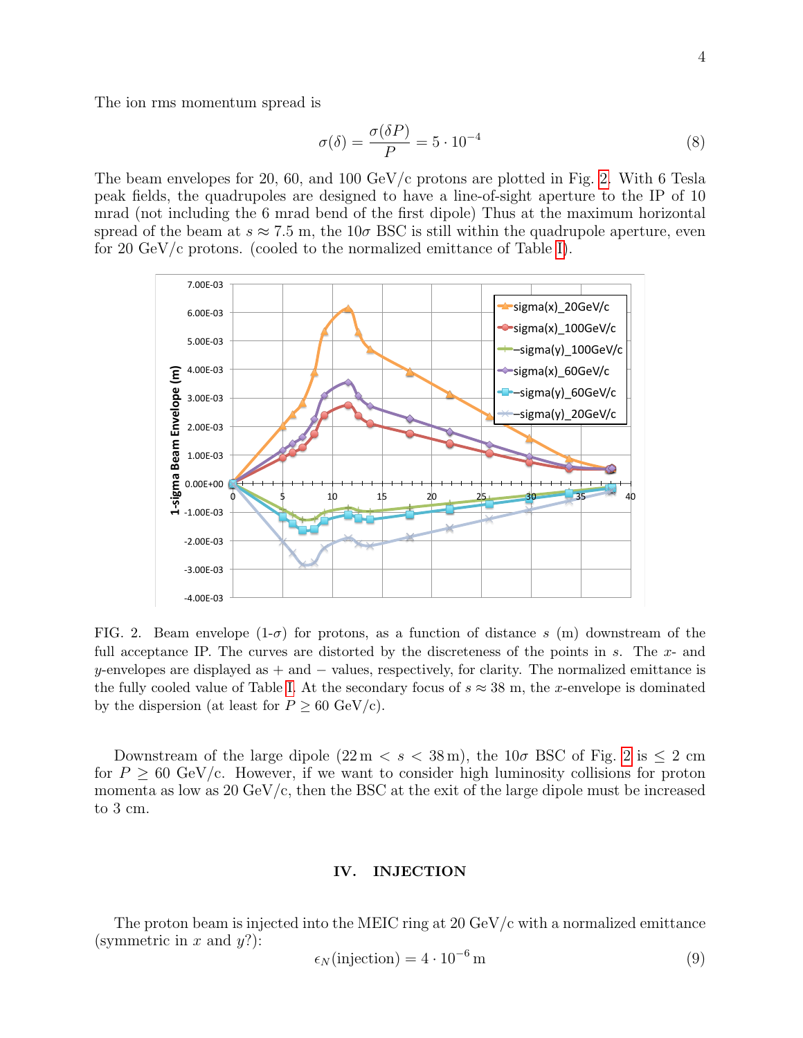The ion rms momentum spread is

$$
\sigma(\delta) = \frac{\sigma(\delta P)}{P} = 5 \cdot 10^{-4}
$$
\n(8)

The beam envelopes for 20, 60, and 100 GeV/c protons are plotted in Fig. [2.](#page-3-1) With 6 Tesla peak fields, the quadrupoles are designed to have a line-of-sight aperture to the IP of 10 mrad (not including the 6 mrad bend of the first dipole) Thus at the maximum horizontal spread of the beam at  $s \approx 7.5$  m, the  $10\sigma$  BSC is still within the quadrupole aperture, even for 20 GeV/c protons. (cooled to the normalized emittance of Table [I\)](#page-2-1).



<span id="page-3-1"></span>FIG. 2. Beam envelope  $(1-\sigma)$  for protons, as a function of distance s  $(m)$  downstream of the full acceptance IP. The curves are distorted by the discreteness of the points in  $s$ . The  $x$ - and y-envelopes are displayed as  $+$  and  $-$  values, respectively, for clarity. The normalized emittance is the fully cooled value of Table [I.](#page-2-1) At the secondary focus of  $s \approx 38$  m, the x-envelope is dominated by the dispersion (at least for  $P \geq 60 \text{ GeV/c}$ ).

Downstream of the large dipole  $(22 \text{ m} < s < 38 \text{ m})$ , the  $10\sigma$  BSC of Fig. [2](#page-3-1) is  $\leq 2 \text{ cm}$ for  $P \geq 60$  GeV/c. However, if we want to consider high luminosity collisions for proton momenta as low as  $20 \text{ GeV/c}$ , then the BSC at the exit of the large dipole must be increased to 3 cm.

# <span id="page-3-0"></span>IV. INJECTION

The proton beam is injected into the MEIC ring at  $20 \text{ GeV}/c$  with a normalized emittance (symmetric in x and  $y$ ?):

$$
\epsilon_N(\text{injection}) = 4 \cdot 10^{-6} \,\text{m} \tag{9}
$$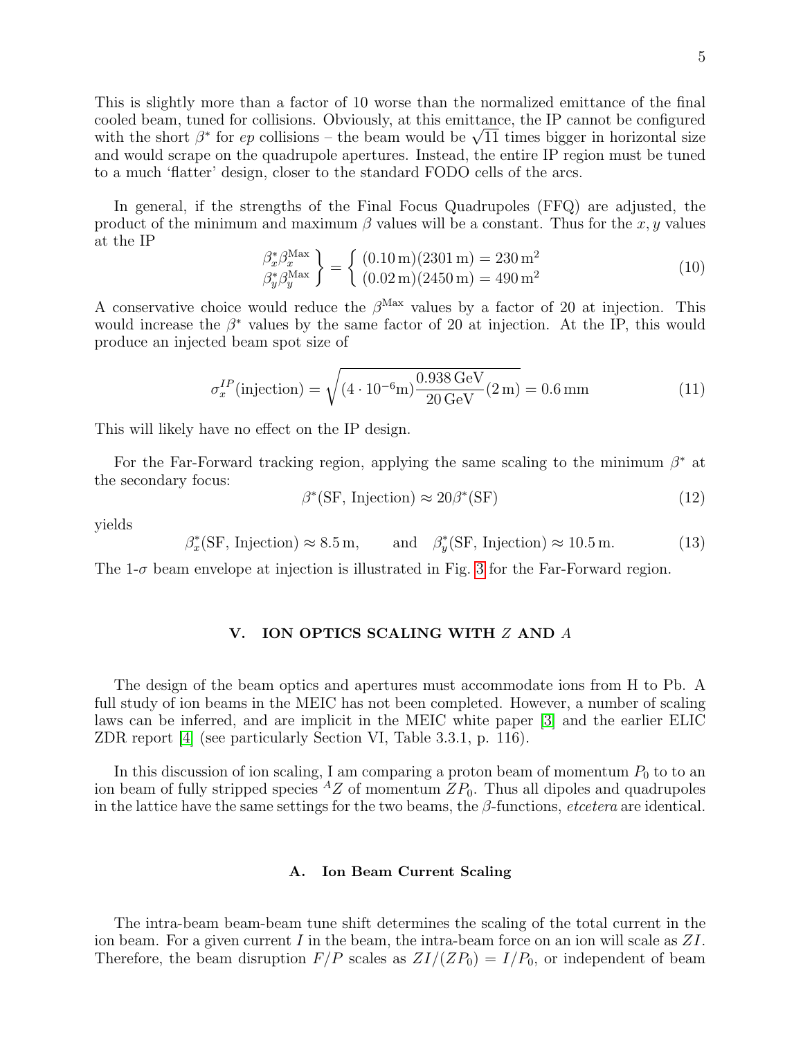This is slightly more than a factor of 10 worse than the normalized emittance of the final cooled beam, tuned for collisions. Obviously, at this emittance, the IP cannot be configured cooled beam, tuned for collisions. Obviously, at this emittance, the IP cannot be configured<br>with the short  $\beta^*$  for *ep* collisions – the beam would be  $\sqrt{11}$  times bigger in horizontal size and would scrape on the quadrupole apertures. Instead, the entire IP region must be tuned to a much 'flatter' design, closer to the standard FODO cells of the arcs.

In general, if the strengths of the Final Focus Quadrupoles (FFQ) are adjusted, the product of the minimum and maximum  $\beta$  values will be a constant. Thus for the x, y values at the IP

$$
\begin{aligned}\n\beta_x^* \beta_x^{\text{Max}} \\
\beta_y^* \beta_y^{\text{Max}}\n\end{aligned}\n\bigg\} = \n\begin{cases}\n(0.10 \,\text{m})(2301 \,\text{m}) = 230 \,\text{m}^2 \\
(0.02 \,\text{m})(2450 \,\text{m}) = 490 \,\text{m}^2\n\end{cases}\n\tag{10}
$$

A conservative choice would reduce the  $\beta^{\text{Max}}$  values by a factor of 20 at injection. This would increase the  $\beta^*$  values by the same factor of 20 at injection. At the IP, this would produce an injected beam spot size of

$$
\sigma_x^{IP}(\text{injection}) = \sqrt{(4 \cdot 10^{-6} \text{m}) \frac{0.938 \text{ GeV}}{20 \text{ GeV}} (2 \text{m})} = 0.6 \text{ mm}
$$
\n(11)

This will likely have no effect on the IP design.

For the Far-Forward tracking region, applying the same scaling to the minimum  $\beta^*$  at the secondary focus:

$$
\beta^*(\text{SF, Injection}) \approx 20\beta^*(\text{SF})\tag{12}
$$

yields

$$
\beta_x^*(\text{SF}, \text{Injection}) \approx 8.5 \,\text{m}, \qquad \text{and} \quad \beta_y^*(\text{SF}, \text{Injection}) \approx 10.5 \,\text{m}.
$$
 (13)

The  $1-\sigma$  beam envelope at injection is illustrated in Fig. [3](#page-5-1) for the Far-Forward region.

# <span id="page-4-0"></span>V. ION OPTICS SCALING WITH Z AND A

The design of the beam optics and apertures must accommodate ions from H to Pb. A full study of ion beams in the MEIC has not been completed. However, a number of scaling laws can be inferred, and are implicit in the MEIC white paper [\[3\]](#page-6-4) and the earlier ELIC ZDR report [\[4\]](#page-6-5) (see particularly Section VI, Table 3.3.1, p. 116).

In this discussion of ion scaling, I am comparing a proton beam of momentum  $P_0$  to to an ion beam of fully stripped species  ${}^{A}Z$  of momentum  $ZP_0$ . Thus all dipoles and quadrupoles in the lattice have the same settings for the two beams, the  $\beta$ -functions, *etcetera* are identical.

#### <span id="page-4-1"></span>A. Ion Beam Current Scaling

The intra-beam beam-beam tune shift determines the scaling of the total current in the ion beam. For a given current I in the beam, the intra-beam force on an ion will scale as  $ZI$ . Therefore, the beam disruption  $F/P$  scales as  $ZI/(ZP_0) = I/P_0$ , or independent of beam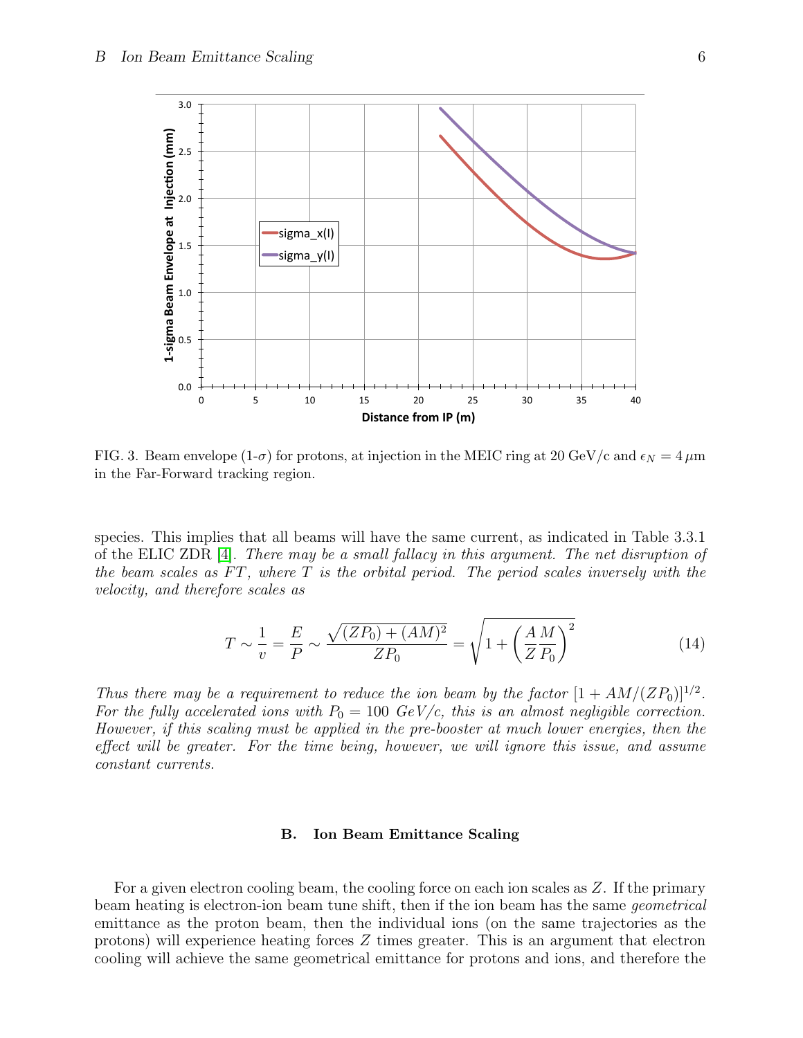

<span id="page-5-1"></span>FIG. 3. Beam envelope  $(1-\sigma)$  for protons, at injection in the MEIC ring at 20 GeV/c and  $\epsilon_N = 4 \,\mu m$ in the Far-Forward tracking region.

species. This implies that all beams will have the same current, as indicated in Table 3.3.1 of the ELIC ZDR [\[4\]](#page-6-5). There may be a small fallacy in this argument. The net disruption of the beam scales as  $FT$ , where  $T$  is the orbital period. The period scales inversely with the velocity, and therefore scales as

$$
T \sim \frac{1}{v} = \frac{E}{P} \sim \frac{\sqrt{(ZP_0) + (AM)^2}}{ZP_0} = \sqrt{1 + \left(\frac{AM}{ZP_0}\right)^2}
$$
(14)

Thus there may be a requirement to reduce the ion beam by the factor  $[1 + AM/(ZP_0)]^{1/2}$ . For the fully accelerated ions with  $P_0 = 100 \text{ GeV/c}$ , this is an almost negligible correction. However, if this scaling must be applied in the pre-booster at much lower energies, then the effect will be greater. For the time being, however, we will ignore this issue, and assume constant currents.

## <span id="page-5-0"></span>B. Ion Beam Emittance Scaling

For a given electron cooling beam, the cooling force on each ion scales as  $Z$ . If the primary beam heating is electron-ion beam tune shift, then if the ion beam has the same geometrical emittance as the proton beam, then the individual ions (on the same trajectories as the protons) will experience heating forces Z times greater. This is an argument that electron cooling will achieve the same geometrical emittance for protons and ions, and therefore the